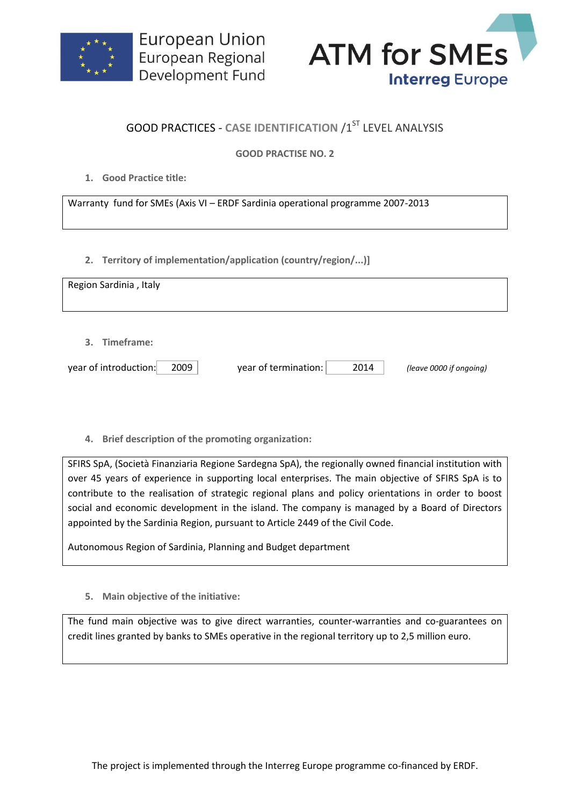



## **GOOD PRACTICES - CASE IDENTIFICATION /1ST LEVEL ANALYSIS**

## **GOOD PRACTISE NO. 2**

**1. Good Practice title:**

Warranty fund for SMEs (Axis VI – ERDF Sardinia operational programme 2007-2013

**2. Territory of implementation/application (country/region/...)]**

| Region Sardinia, Italy        |                              |                         |
|-------------------------------|------------------------------|-------------------------|
|                               |                              |                         |
| 3. Timeframe:                 |                              |                         |
| 2009<br>year of introduction: | year of termination:<br>2014 | (leave 0000 if ongoing) |

**4. Brief description of the promoting organization:**

SFIRS SpA, (Società Finanziaria Regione Sardegna SpA), the regionally owned financial institution with over 45 years of experience in supporting local enterprises. The main objective of SFIRS SpA is to contribute to the realisation of strategic regional plans and policy orientations in order to boost social and economic development in the island. The company is managed by a Board of Directors appointed by the Sardinia Region, pursuant to Article 2449 of the Civil Code.

Autonomous Region of Sardinia, Planning and Budget department

**5. Main objective of the initiative:**

The fund main objective was to give direct warranties, counter-warranties and co-guarantees on credit lines granted by banks to SMEs operative in the regional territory up to 2,5 million euro.